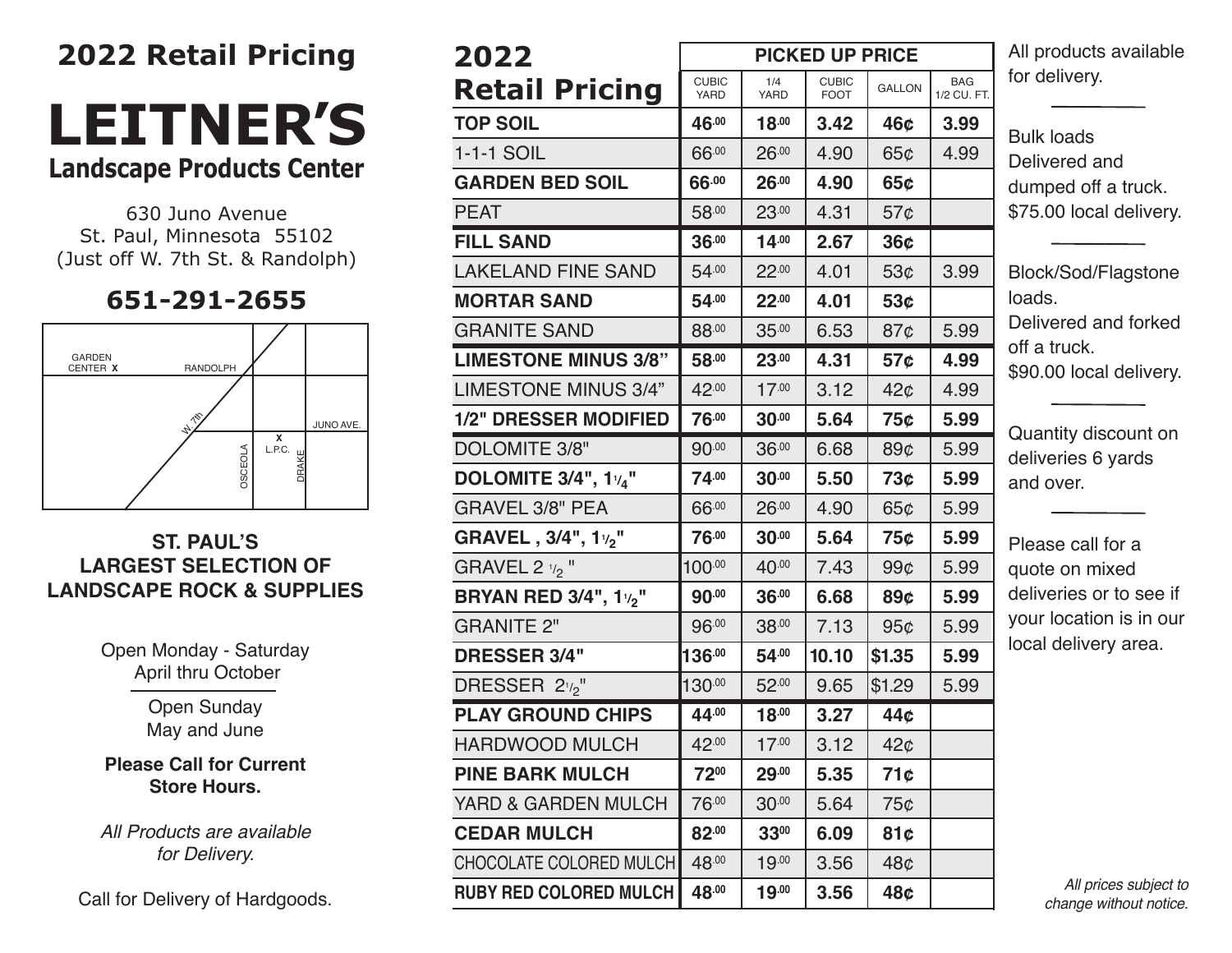# **2022 Retail Pricing**

# **leitneR's landscape Products Center**

630 Juno Avenue St. Paul, Minnesota 55102 (Just off W. 7th St. & Randolph)

## **651-291-2655**



#### **ST. PAUL'S LARGEST SELECTION OF LANDSCAPE ROCK & SUPPLIES**

Open Monday - Saturday April thru October

> Open Sunday May and June

#### **Please Call for Current Store Hours.**

*All Products are available for Delivery.*

Call for Delivery of Hardgoods.

| 2022                                          | A<br><b>PICKED UP PRICE</b> |             |                             |                 |                           |         |  |
|-----------------------------------------------|-----------------------------|-------------|-----------------------------|-----------------|---------------------------|---------|--|
| <b>Retail Pricing</b>                         | <b>CUBIC</b><br>YARD        | 1/4<br>YARD | <b>CUBIC</b><br><b>FOOT</b> | <b>GALLON</b>   | <b>BAG</b><br>1/2 CU. FT. | fc      |  |
| <b>TOP SOIL</b>                               | 46.00                       | $18^{.00}$  | 3.42                        | 46¢             | 3.99                      |         |  |
| 1-1-1 SOIL                                    | 66.00                       | 26.00       | 4.90                        | 65¢             | 4.99                      | Β<br>D  |  |
| <b>GARDEN BED SOIL</b>                        | 66.00                       | 26.00       | 4.90                        | 65c             |                           | d       |  |
| <b>PEAT</b>                                   | 58.00                       | 23.00       | 4.31                        | $57\circ$       |                           | \$      |  |
| <b>FILL SAND</b>                              | 36.00                       | $14^{.00}$  | 2.67                        | 36 <sub>c</sub> |                           |         |  |
| <b>LAKELAND FINE SAND</b>                     | 54.00                       | 22.00       | 4.01                        | 53 <sub>¢</sub> | 3.99                      | Β       |  |
| <b>MORTAR SAND</b>                            | 54.00                       | 22.00       | 4.01                        | 53 <sub>c</sub> |                           | lc      |  |
| <b>GRANITE SAND</b>                           | 88.00                       | 35.00       | 6.53                        | 87¢             | 5.99                      | D       |  |
| <b>LIMESTONE MINUS 3/8"</b>                   | 58.00                       | 23.00       | 4.31                        | 57¢             | 4.99                      | O<br>\$ |  |
| <b>LIMESTONE MINUS 3/4"</b>                   | 42.00                       | 17.00       | 3.12                        | 42¢             | 4.99                      |         |  |
| <b>1/2" DRESSER MODIFIED</b>                  | 76.00                       | 30.00       | 5.64                        | 75¢             | 5.99                      |         |  |
| DOLOMITE 3/8"                                 | 90.00                       | 36.00       | 6.68                        | 89¢             | 5.99                      | C<br>d  |  |
| <b>DOLOMITE 3/4", 1<math>v_4</math>"</b>      | 74.00                       | 30.00       | 5.50                        | 73¢             | 5.99                      | a       |  |
| <b>GRAVEL 3/8" PEA</b>                        | 66.00                       | 26.00       | 4.90                        | 65¢             | 5.99                      |         |  |
| GRAVEL, 3/4", 1 <sup>1</sup> / <sub>2</sub> " | 76.00                       | 30.00       | 5.64                        | 75¢             | 5.99                      | P       |  |
| GRAVEL 2 $\frac{1}{2}$ "                      | 100.00                      | 40.00       | 7.43                        | 99 <sub>c</sub> | 5.99                      | q       |  |
| <b>BRYAN RED 3/4", 1%"</b>                    | 90.00                       | 36.00       | 6.68                        | 89¢             | 5.99                      | d       |  |
| <b>GRANITE 2"</b>                             | 96.00                       | 38.00       | 7.13                        | 95¢             | 5.99                      | у       |  |
| <b>DRESSER 3/4"</b>                           | $136^{.00}$                 | 54.00       | 10.10                       | \$1.35          | 5.99                      | lc      |  |
| DRESSER 21/2"                                 | 130.00                      | 52.00       | 9.65                        | \$1.29          | 5.99                      |         |  |
| <b>PLAY GROUND CHIPS</b>                      | 44.00                       | 18.00       | 3.27                        | 44¢             |                           |         |  |
| <b>HARDWOOD MULCH</b>                         | 42.00                       | 17.00       | 3.12                        | 42¢             |                           |         |  |
| <b>PINE BARK MULCH</b>                        | 7200                        | 29.00       | 5.35                        | 71c             |                           |         |  |
| YARD & GARDEN MULCH                           | 76.00                       | 30.00       | 5.64                        | 75¢             |                           |         |  |
| <b>CEDAR MULCH</b>                            | 82.00                       | 3300        | 6.09                        | 81¢             |                           |         |  |
| CHOCOLATE COLORED MULCH                       | 48.00                       | 19.00       | 3.56                        | 48¢             |                           |         |  |
| <b>RUBY RED COLORED MULCH</b>                 | 48.00                       | 19.00       | 3.56                        | 48¢             |                           |         |  |

All products available or delivery.

Bulk loads Delivered and lumped off a truck. \$75.00 local delivery.

Block/Sod/Flagstone bads. Delivered and forked ff a truck. 90.00 local delivery.

Quantity discount on leliveries 6 yards and over.

Please call for a quote on mixed deliveries or to see if your location is in our ocal delivery area.

> *All prices subject to change without notice.*